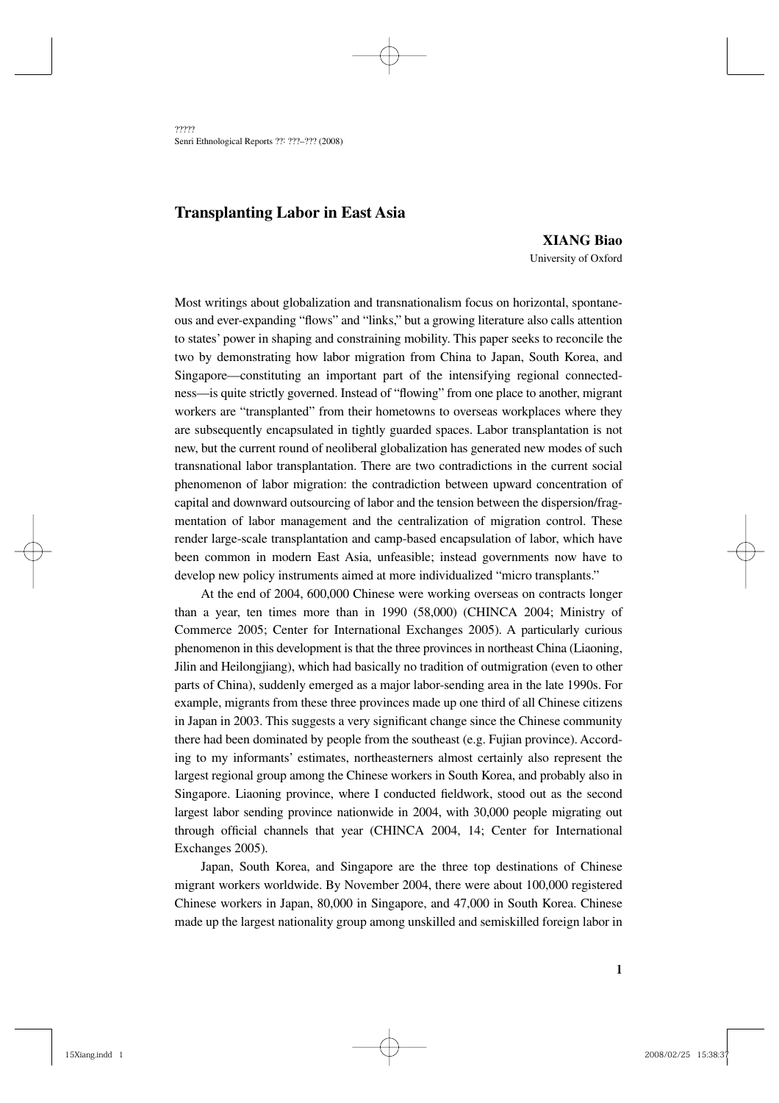????? Senri Ethnological Reports ??: ???–??? (2008)

# **Transplanting Labor in East Asia**

**XIANG Biao** University of Oxford

Most writings about globalization and transnationalism focus on horizontal, spontaneous and ever-expanding "flows" and "links," but a growing literature also calls attention to states' power in shaping and constraining mobility. This paper seeks to reconcile the two by demonstrating how labor migration from China to Japan, South Korea, and Singapore—constituting an important part of the intensifying regional connectedness—is quite strictly governed. Instead of "flowing" from one place to another, migrant workers are "transplanted" from their hometowns to overseas workplaces where they are subsequently encapsulated in tightly guarded spaces. Labor transplantation is not new, but the current round of neoliberal globalization has generated new modes of such transnational labor transplantation. There are two contradictions in the current social phenomenon of labor migration: the contradiction between upward concentration of capital and downward outsourcing of labor and the tension between the dispersion/fragmentation of labor management and the centralization of migration control. These render large-scale transplantation and camp-based encapsulation of labor, which have been common in modern East Asia, unfeasible; instead governments now have to develop new policy instruments aimed at more individualized "micro transplants."

At the end of 2004, 600,000 Chinese were working overseas on contracts longer than a year, ten times more than in 1990 (58,000) (CHINCA 2004; Ministry of Commerce 2005; Center for International Exchanges 2005). A particularly curious phenomenon in this development is that the three provinces in northeast China (Liaoning, Jilin and Heilongjiang), which had basically no tradition of outmigration (even to other parts of China), suddenly emerged as a major labor-sending area in the late 1990s. For example, migrants from these three provinces made up one third of all Chinese citizens in Japan in 2003. This suggests a very significant change since the Chinese community there had been dominated by people from the southeast (e.g. Fujian province). According to my informants' estimates, northeasterners almost certainly also represent the largest regional group among the Chinese workers in South Korea, and probably also in Singapore. Liaoning province, where I conducted fieldwork, stood out as the second largest labor sending province nationwide in 2004, with 30,000 people migrating out through official channels that year (CHINCA 2004, 14; Center for International Exchanges 2005).

Japan, South Korea, and Singapore are the three top destinations of Chinese migrant workers worldwide. By November 2004, there were about 100,000 registered Chinese workers in Japan, 80,000 in Singapore, and 47,000 in South Korea. Chinese made up the largest nationality group among unskilled and semiskilled foreign labor in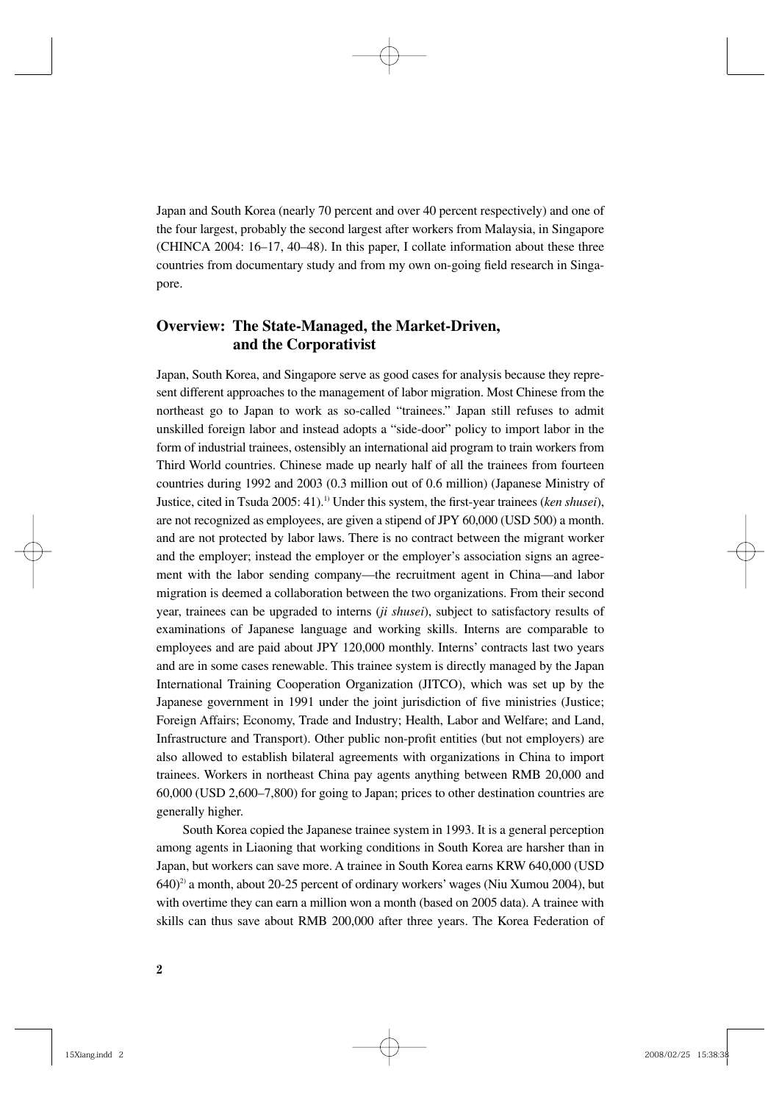Japan and South Korea (nearly 70 percent and over 40 percent respectively) and one of the four largest, probably the second largest after workers from Malaysia, in Singapore (CHINCA 2004: 16–17, 40–48). In this paper, I collate information about these three countries from documentary study and from my own on-going field research in Singapore.

# **Overview: The State-Managed, the Market-Driven, and the Corporativist**

Japan, South Korea, and Singapore serve as good cases for analysis because they represent different approaches to the management of labor migration. Most Chinese from the northeast go to Japan to work as so-called "trainees." Japan still refuses to admit unskilled foreign labor and instead adopts a "side-door" policy to import labor in the form of industrial trainees, ostensibly an international aid program to train workers from Third World countries. Chinese made up nearly half of all the trainees from fourteen countries during 1992 and 2003 (0.3 million out of 0.6 million) (Japanese Ministry of Justice, cited in Tsuda 2005: 41).<sup>1)</sup> Under this system, the first-year trainees (*ken shusei*), are not recognized as employees, are given a stipend of JPY 60,000 (USD 500) a month. and are not protected by labor laws. There is no contract between the migrant worker and the employer; instead the employer or the employer's association signs an agreement with the labor sending company—the recruitment agent in China—and labor migration is deemed a collaboration between the two organizations. From their second year, trainees can be upgraded to interns (*ji shusei*), subject to satisfactory results of examinations of Japanese language and working skills. Interns are comparable to employees and are paid about JPY 120,000 monthly. Interns' contracts last two years and are in some cases renewable. This trainee system is directly managed by the Japan International Training Cooperation Organization (JITCO), which was set up by the Japanese government in 1991 under the joint jurisdiction of five ministries (Justice; Foreign Affairs; Economy, Trade and Industry; Health, Labor and Welfare; and Land, Infrastructure and Transport). Other public non-profit entities (but not employers) are also allowed to establish bilateral agreements with organizations in China to import trainees. Workers in northeast China pay agents anything between RMB 20,000 and 60,000 (USD 2,600–7,800) for going to Japan; prices to other destination countries are generally higher.

South Korea copied the Japanese trainee system in 1993. It is a general perception among agents in Liaoning that working conditions in South Korea are harsher than in Japan, but workers can save more. A trainee in South Korea earns KRW 640,000 (USD 640)2) a month, about 20-25 percent of ordinary workers' wages (Niu Xumou 2004), but with overtime they can earn a million won a month (based on 2005 data). A trainee with skills can thus save about RMB 200,000 after three years. The Korea Federation of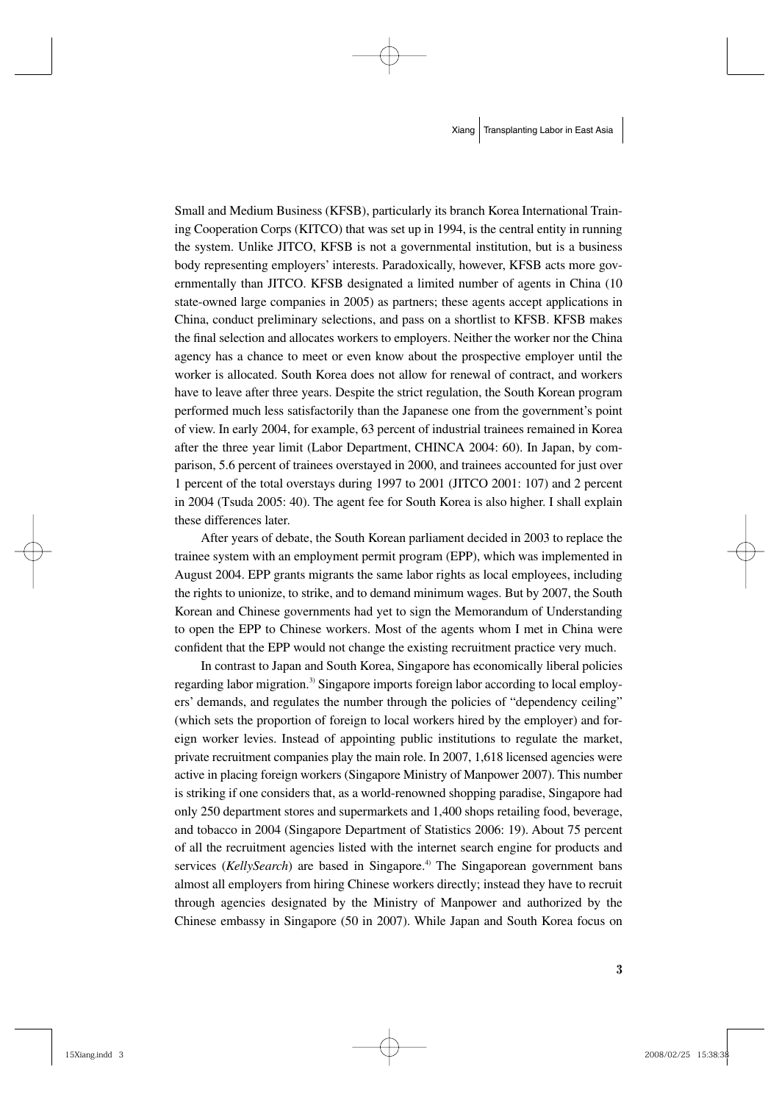Small and Medium Business (KFSB), particularly its branch Korea International Training Cooperation Corps (KITCO) that was set up in 1994, is the central entity in running the system. Unlike JITCO, KFSB is not a governmental institution, but is a business body representing employers' interests. Paradoxically, however, KFSB acts more governmentally than JITCO. KFSB designated a limited number of agents in China (10 state-owned large companies in 2005) as partners; these agents accept applications in China, conduct preliminary selections, and pass on a shortlist to KFSB. KFSB makes the final selection and allocates workers to employers. Neither the worker nor the China agency has a chance to meet or even know about the prospective employer until the worker is allocated. South Korea does not allow for renewal of contract, and workers have to leave after three years. Despite the strict regulation, the South Korean program performed much less satisfactorily than the Japanese one from the government's point of view. In early 2004, for example, 63 percent of industrial trainees remained in Korea after the three year limit (Labor Department, CHINCA 2004: 60). In Japan, by comparison, 5.6 percent of trainees overstayed in 2000, and trainees accounted for just over 1 percent of the total overstays during 1997 to 2001 (JITCO 2001: 107) and 2 percent in 2004 (Tsuda 2005: 40). The agent fee for South Korea is also higher. I shall explain these differences later.

After years of debate, the South Korean parliament decided in 2003 to replace the trainee system with an employment permit program (EPP), which was implemented in August 2004. EPP grants migrants the same labor rights as local employees, including the rights to unionize, to strike, and to demand minimum wages. But by 2007, the South Korean and Chinese governments had yet to sign the Memorandum of Understanding to open the EPP to Chinese workers. Most of the agents whom I met in China were confident that the EPP would not change the existing recruitment practice very much.

In contrast to Japan and South Korea, Singapore has economically liberal policies regarding labor migration.<sup>3)</sup> Singapore imports foreign labor according to local employers' demands, and regulates the number through the policies of "dependency ceiling" (which sets the proportion of foreign to local workers hired by the employer) and foreign worker levies. Instead of appointing public institutions to regulate the market, private recruitment companies play the main role. In 2007, 1,618 licensed agencies were active in placing foreign workers (Singapore Ministry of Manpower 2007). This number is striking if one considers that, as a world-renowned shopping paradise, Singapore had only 250 department stores and supermarkets and 1,400 shops retailing food, beverage, and tobacco in 2004 (Singapore Department of Statistics 2006: 19). About 75 percent of all the recruitment agencies listed with the internet search engine for products and services (*KellySearch*) are based in Singapore.<sup>4)</sup> The Singaporean government bans almost all employers from hiring Chinese workers directly; instead they have to recruit through agencies designated by the Ministry of Manpower and authorized by the Chinese embassy in Singapore (50 in 2007). While Japan and South Korea focus on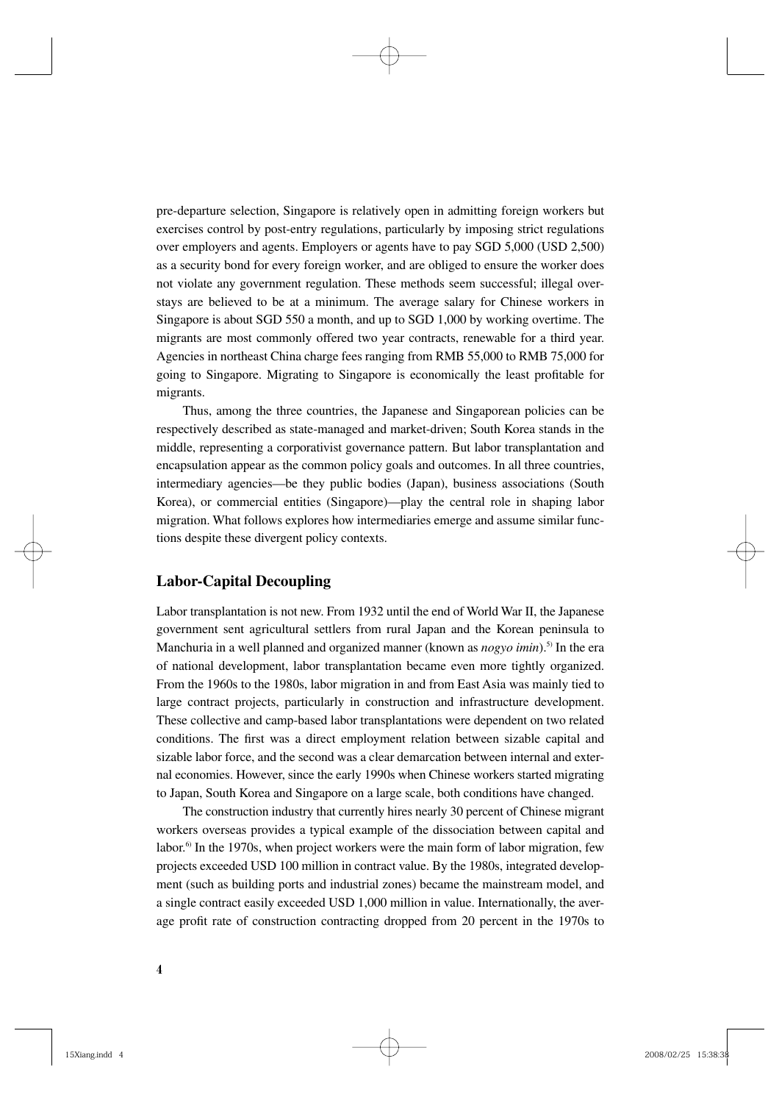pre-departure selection, Singapore is relatively open in admitting foreign workers but exercises control by post-entry regulations, particularly by imposing strict regulations over employers and agents. Employers or agents have to pay SGD 5,000 (USD 2,500) as a security bond for every foreign worker, and are obliged to ensure the worker does not violate any government regulation. These methods seem successful; illegal overstays are believed to be at a minimum. The average salary for Chinese workers in Singapore is about SGD 550 a month, and up to SGD 1,000 by working overtime. The migrants are most commonly offered two year contracts, renewable for a third year. Agencies in northeast China charge fees ranging from RMB 55,000 to RMB 75,000 for going to Singapore. Migrating to Singapore is economically the least profitable for migrants.

Thus, among the three countries, the Japanese and Singaporean policies can be respectively described as state-managed and market-driven; South Korea stands in the middle, representing a corporativist governance pattern. But labor transplantation and encapsulation appear as the common policy goals and outcomes. In all three countries, intermediary agencies—be they public bodies (Japan), business associations (South Korea), or commercial entities (Singapore)—play the central role in shaping labor migration. What follows explores how intermediaries emerge and assume similar functions despite these divergent policy contexts.

### **Labor-Capital Decoupling**

Labor transplantation is not new. From 1932 until the end of World War II, the Japanese government sent agricultural settlers from rural Japan and the Korean peninsula to Manchuria in a well planned and organized manner (known as *nogyo imin*).<sup>5)</sup> In the era of national development, labor transplantation became even more tightly organized. From the 1960s to the 1980s, labor migration in and from East Asia was mainly tied to large contract projects, particularly in construction and infrastructure development. These collective and camp-based labor transplantations were dependent on two related conditions. The first was a direct employment relation between sizable capital and sizable labor force, and the second was a clear demarcation between internal and external economies. However, since the early 1990s when Chinese workers started migrating to Japan, South Korea and Singapore on a large scale, both conditions have changed.

The construction industry that currently hires nearly 30 percent of Chinese migrant workers overseas provides a typical example of the dissociation between capital and labor.<sup>6)</sup> In the 1970s, when project workers were the main form of labor migration, few projects exceeded USD 100 million in contract value. By the 1980s, integrated development (such as building ports and industrial zones) became the mainstream model, and a single contract easily exceeded USD 1,000 million in value. Internationally, the average profit rate of construction contracting dropped from 20 percent in the 1970s to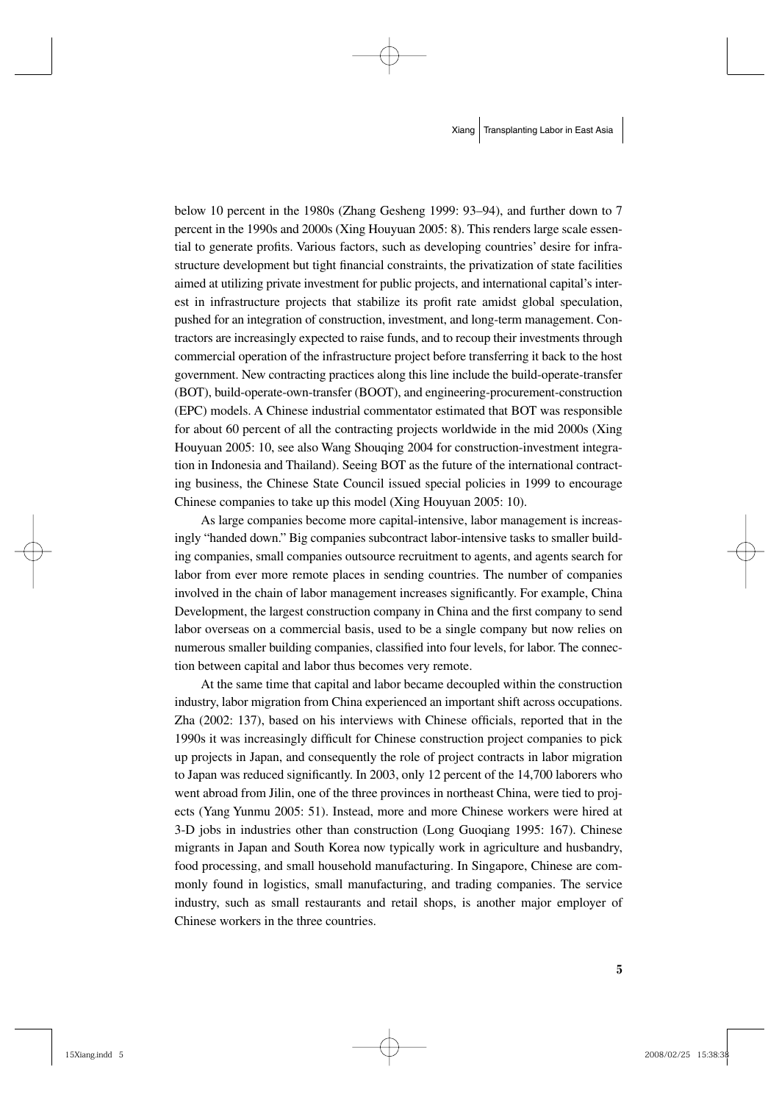below 10 percent in the 1980s (Zhang Gesheng 1999: 93–94), and further down to 7 percent in the 1990s and 2000s (Xing Houyuan 2005: 8). This renders large scale essential to generate profits. Various factors, such as developing countries' desire for infrastructure development but tight financial constraints, the privatization of state facilities aimed at utilizing private investment for public projects, and international capital's interest in infrastructure projects that stabilize its profit rate amidst global speculation, pushed for an integration of construction, investment, and long-term management. Contractors are increasingly expected to raise funds, and to recoup their investments through commercial operation of the infrastructure project before transferring it back to the host government. New contracting practices along this line include the build-operate-transfer (BOT), build-operate-own-transfer (BOOT), and engineering-procurement-construction (EPC) models. A Chinese industrial commentator estimated that BOT was responsible for about 60 percent of all the contracting projects worldwide in the mid 2000s (Xing Houyuan 2005: 10, see also Wang Shouqing 2004 for construction-investment integration in Indonesia and Thailand). Seeing BOT as the future of the international contracting business, the Chinese State Council issued special policies in 1999 to encourage Chinese companies to take up this model (Xing Houyuan 2005: 10).

As large companies become more capital-intensive, labor management is increasingly "handed down." Big companies subcontract labor-intensive tasks to smaller building companies, small companies outsource recruitment to agents, and agents search for labor from ever more remote places in sending countries. The number of companies involved in the chain of labor management increases significantly. For example, China Development, the largest construction company in China and the first company to send labor overseas on a commercial basis, used to be a single company but now relies on numerous smaller building companies, classified into four levels, for labor. The connection between capital and labor thus becomes very remote.

At the same time that capital and labor became decoupled within the construction industry, labor migration from China experienced an important shift across occupations. Zha  $(2002: 137)$ , based on his interviews with Chinese officials, reported that in the 1990s it was increasingly difficult for Chinese construction project companies to pick up projects in Japan, and consequently the role of project contracts in labor migration to Japan was reduced significantly. In 2003, only 12 percent of the 14,700 laborers who went abroad from Jilin, one of the three provinces in northeast China, were tied to projects (Yang Yunmu 2005: 51). Instead, more and more Chinese workers were hired at 3-D jobs in industries other than construction (Long Guoqiang 1995: 167). Chinese migrants in Japan and South Korea now typically work in agriculture and husbandry, food processing, and small household manufacturing. In Singapore, Chinese are commonly found in logistics, small manufacturing, and trading companies. The service industry, such as small restaurants and retail shops, is another major employer of Chinese workers in the three countries.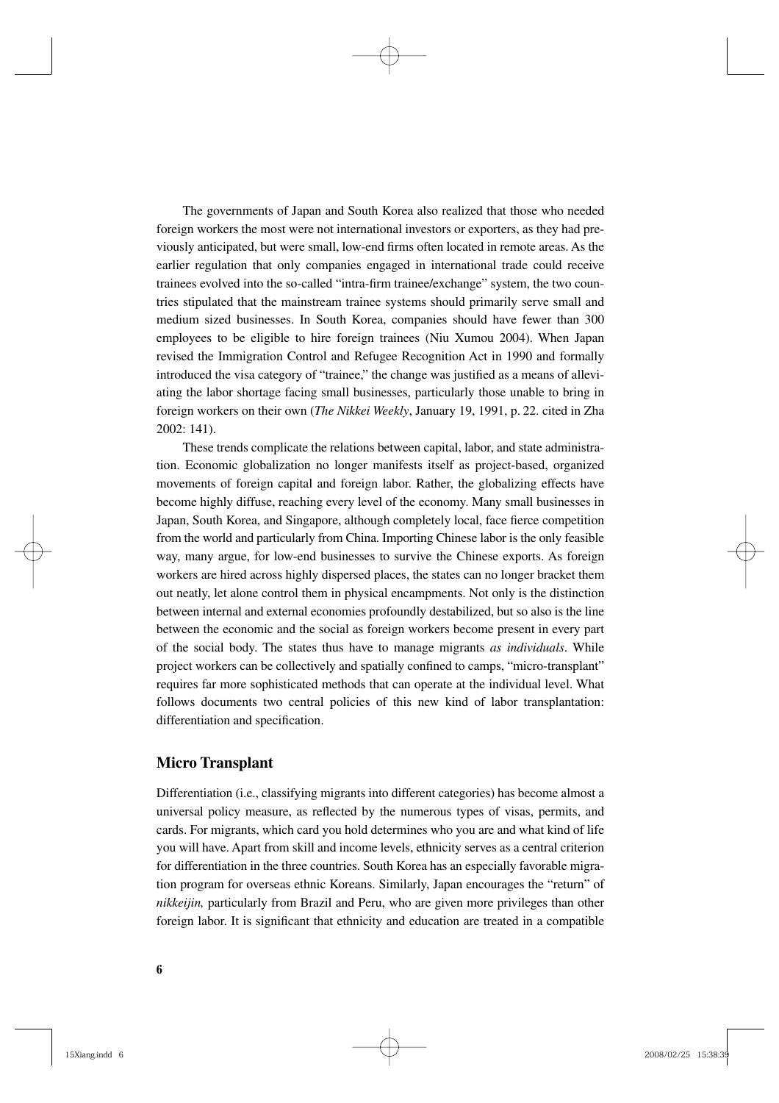The governments of Japan and South Korea also realized that those who needed foreign workers the most were not international investors or exporters, as they had previously anticipated, but were small, low-end firms often located in remote areas. As the earlier regulation that only companies engaged in international trade could receive trainees evolved into the so-called "intra-firm trainee/exchange" system, the two countries stipulated that the mainstream trainee systems should primarily serve small and medium sized businesses. In South Korea, companies should have fewer than 300 employees to be eligible to hire foreign trainees (Niu Xumou 2004). When Japan revised the Immigration Control and Refugee Recognition Act in 1990 and formally introduced the visa category of "trainee," the change was justified as a means of alleviating the labor shortage facing small businesses, particularly those unable to bring in foreign workers on their own (*The Nikkei Weekly*, January 19, 1991, p. 22. cited in Zha 2002: 141).

These trends complicate the relations between capital, labor, and state administration. Economic globalization no longer manifests itself as project-based, organized movements of foreign capital and foreign labor. Rather, the globalizing effects have become highly diffuse, reaching every level of the economy. Many small businesses in Japan, South Korea, and Singapore, although completely local, face fierce competition from the world and particularly from China. Importing Chinese labor is the only feasible way, many argue, for low-end businesses to survive the Chinese exports. As foreign workers are hired across highly dispersed places, the states can no longer bracket them out neatly, let alone control them in physical encampments. Not only is the distinction between internal and external economies profoundly destabilized, but so also is the line between the economic and the social as foreign workers become present in every part of the social body. The states thus have to manage migrants *as individuals*. While project workers can be collectively and spatially confined to camps, "micro-transplant" requires far more sophisticated methods that can operate at the individual level. What follows documents two central policies of this new kind of labor transplantation: differentiation and specification.

## **Micro Transplant**

Differentiation (i.e., classifying migrants into different categories) has become almost a universal policy measure, as reflected by the numerous types of visas, permits, and cards. For migrants, which card you hold determines who you are and what kind of life you will have. Apart from skill and income levels, ethnicity serves as a central criterion for differentiation in the three countries. South Korea has an especially favorable migration program for overseas ethnic Koreans. Similarly, Japan encourages the "return" of *nikkeijin,* particularly from Brazil and Peru, who are given more privileges than other foreign labor. It is significant that ethnicity and education are treated in a compatible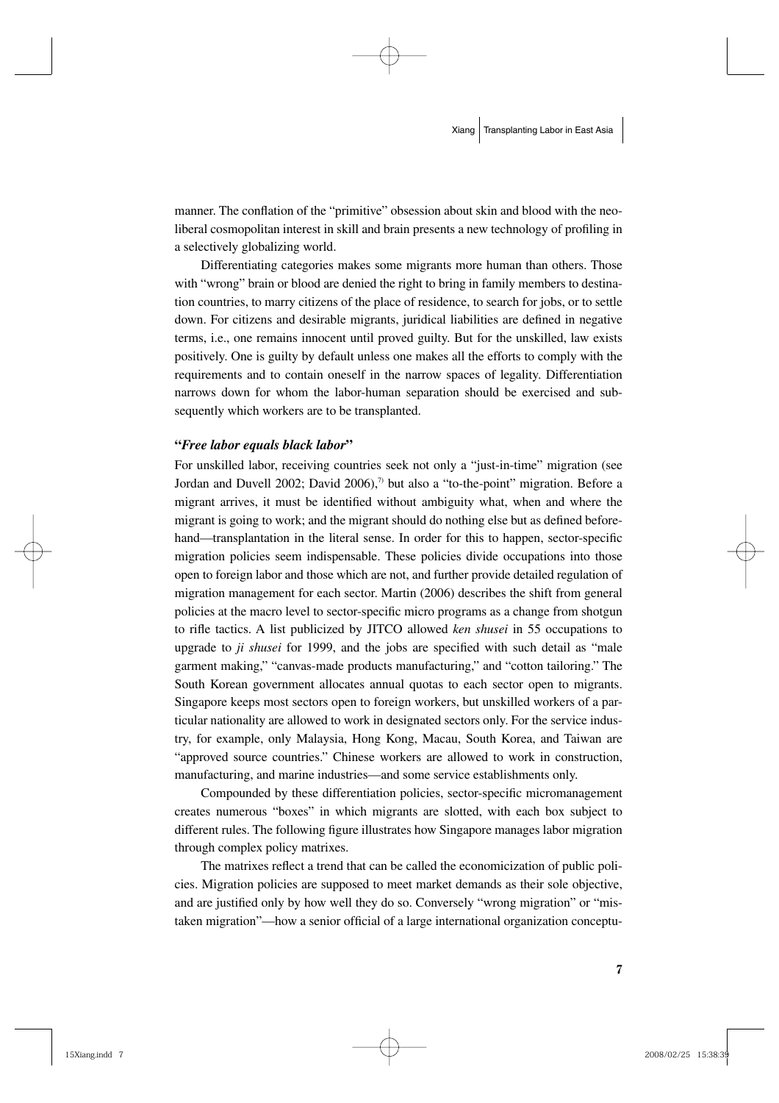manner. The conflation of the "primitive" obsession about skin and blood with the neoliberal cosmopolitan interest in skill and brain presents a new technology of profiling in a selectively globalizing world.

Differentiating categories makes some migrants more human than others. Those with "wrong" brain or blood are denied the right to bring in family members to destination countries, to marry citizens of the place of residence, to search for jobs, or to settle down. For citizens and desirable migrants, juridical liabilities are defined in negative terms, i.e., one remains innocent until proved guilty. But for the unskilled, law exists positively. One is guilty by default unless one makes all the efforts to comply with the requirements and to contain oneself in the narrow spaces of legality. Differentiation narrows down for whom the labor-human separation should be exercised and subsequently which workers are to be transplanted.

#### **"***Free labor equals black labor***"**

For unskilled labor, receiving countries seek not only a "just-in-time" migration (see Jordan and Duvell 2002; David 2006), $\frac{1}{2}$  but also a "to-the-point" migration. Before a migrant arrives, it must be identified without ambiguity what, when and where the migrant is going to work; and the migrant should do nothing else but as defined beforehand—transplantation in the literal sense. In order for this to happen, sector-specific migration policies seem indispensable. These policies divide occupations into those open to foreign labor and those which are not, and further provide detailed regulation of migration management for each sector. Martin (2006) describes the shift from general policies at the macro level to sector-specific micro programs as a change from shotgun to rifle tactics. A list publicized by JITCO allowed *ken shusei* in 55 occupations to upgrade to *ji shusei* for 1999, and the jobs are specified with such detail as "male garment making," "canvas-made products manufacturing," and "cotton tailoring." The South Korean government allocates annual quotas to each sector open to migrants. Singapore keeps most sectors open to foreign workers, but unskilled workers of a particular nationality are allowed to work in designated sectors only. For the service industry, for example, only Malaysia, Hong Kong, Macau, South Korea, and Taiwan are "approved source countries." Chinese workers are allowed to work in construction, manufacturing, and marine industries—and some service establishments only.

Compounded by these differentiation policies, sector-specific micromanagement creates numerous "boxes" in which migrants are slotted, with each box subject to different rules. The following figure illustrates how Singapore manages labor migration through complex policy matrixes.

The matrixes reflect a trend that can be called the economicization of public policies. Migration policies are supposed to meet market demands as their sole objective, and are justified only by how well they do so. Conversely "wrong migration" or "mistaken migration"—how a senior official of a large international organization conceptu-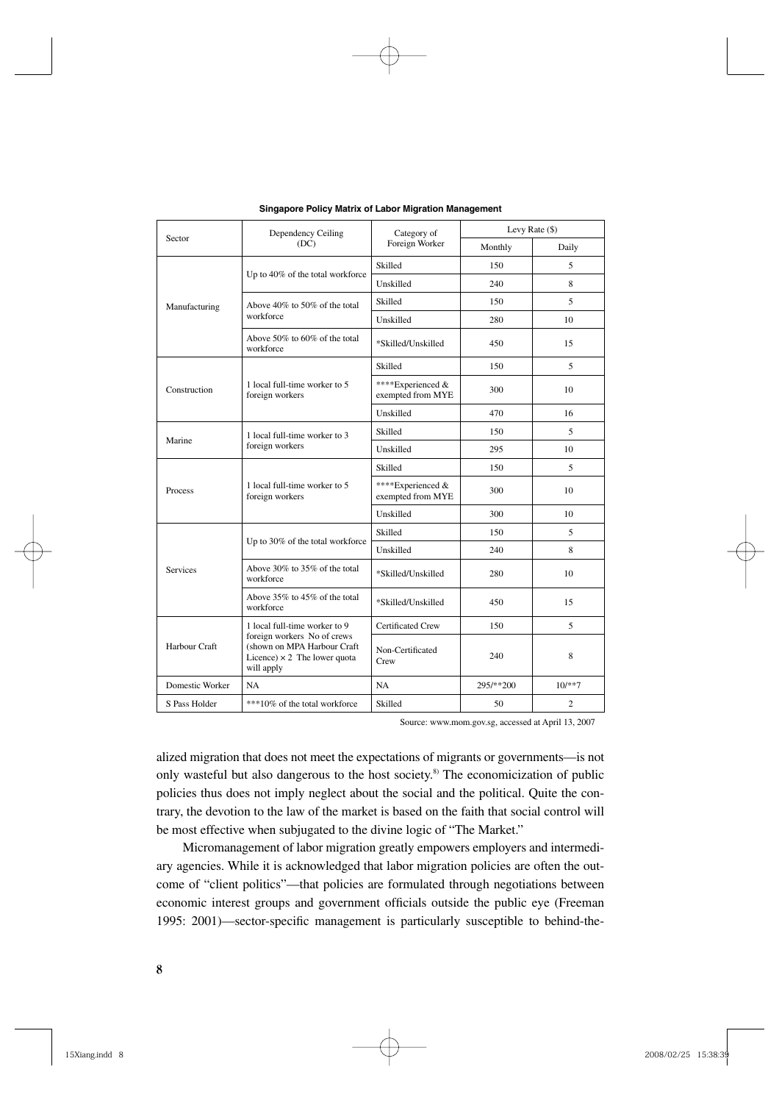| Sector          | Dependency Ceiling<br>(DC)                                                                                                                       | Category of<br>Foreign Worker          | Levy Rate $(\$)$ |                |
|-----------------|--------------------------------------------------------------------------------------------------------------------------------------------------|----------------------------------------|------------------|----------------|
|                 |                                                                                                                                                  |                                        | Monthly          | Daily          |
| Manufacturing   | Up to 40% of the total workforce                                                                                                                 | Skilled                                | 150              | 5              |
|                 |                                                                                                                                                  | Unskilled                              | 240              | 8              |
|                 | Above 40% to 50% of the total<br>workforce                                                                                                       | Skilled                                | 150              | 5              |
|                 |                                                                                                                                                  | Unskilled                              | 280              | 10             |
|                 | Above 50% to 60% of the total<br>workforce                                                                                                       | *Skilled/Unskilled                     | 450              | 15             |
| Construction    | 1 local full-time worker to 5<br>foreign workers                                                                                                 | Skilled                                | 150              | 5              |
|                 |                                                                                                                                                  | ****Experienced &<br>exempted from MYE | 300              | 10             |
|                 |                                                                                                                                                  | Unskilled                              | 470              | 16             |
| Marine          | 1 local full-time worker to 3<br>foreign workers                                                                                                 | Skilled                                | 150              | 5              |
|                 |                                                                                                                                                  | Unskilled                              | 295              | 10             |
| Process         | 1 local full-time worker to 5<br>foreign workers                                                                                                 | Skilled                                | 150              | 5              |
|                 |                                                                                                                                                  | ****Experienced &<br>exempted from MYE | 300              | 10             |
|                 |                                                                                                                                                  | Unskilled                              | 300              | 10             |
| <b>Services</b> | Up to 30% of the total workforce                                                                                                                 | Skilled                                | 150              | 5              |
|                 |                                                                                                                                                  | Unskilled                              | 240              | 8              |
|                 | Above 30% to 35% of the total<br>workforce                                                                                                       | *Skilled/Unskilled                     | 280              | 10             |
|                 | Above 35% to 45% of the total<br>workforce                                                                                                       | *Skilled/Unskilled                     | 450              | 15             |
| Harbour Craft   | 1 local full-time worker to 9<br>foreign workers No of crews<br>(shown on MPA Harbour Craft<br>Licence) $\times$ 2 The lower quota<br>will apply | <b>Certificated Crew</b>               | 150              | 5              |
|                 |                                                                                                                                                  | Non-Certificated<br>Crew               | 240              | 8              |
| Domestic Worker | NA                                                                                                                                               | NA                                     | 295/**200        | $10/**7$       |
| S Pass Holder   | ***10% of the total workforce                                                                                                                    | Skilled                                | 50               | $\overline{c}$ |

**Singapore Policy Matrix of Labor Migration Management**

Source: www.mom.gov.sg, accessed at April 13, 2007

alized migration that does not meet the expectations of migrants or governments—is not only wasteful but also dangerous to the host society.<sup>8)</sup> The economicization of public policies thus does not imply neglect about the social and the political. Quite the contrary, the devotion to the law of the market is based on the faith that social control will be most effective when subjugated to the divine logic of "The Market."

Micromanagement of labor migration greatly empowers employers and intermediary agencies. While it is acknowledged that labor migration policies are often the outcome of "client politics"—that policies are formulated through negotiations between economic interest groups and government officials outside the public eye (Freeman 1995: 2001)—sector-specific management is particularly susceptible to behind-the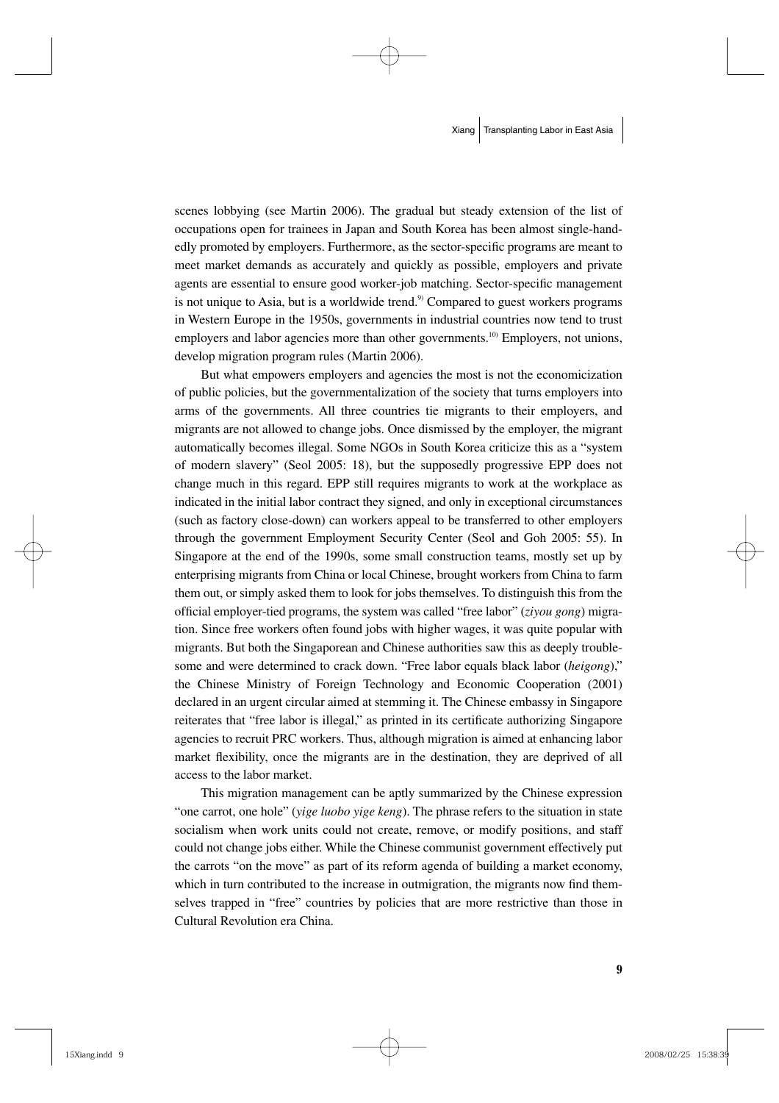scenes lobbying (see Martin 2006). The gradual but steady extension of the list of occupations open for trainees in Japan and South Korea has been almost single-handedly promoted by employers. Furthermore, as the sector-specific programs are meant to meet market demands as accurately and quickly as possible, employers and private agents are essential to ensure good worker-job matching. Sector-specific management is not unique to Asia, but is a worldwide trend. $9$  Compared to guest workers programs in Western Europe in the 1950s, governments in industrial countries now tend to trust employers and labor agencies more than other governments.<sup>10)</sup> Employers, not unions, develop migration program rules (Martin 2006).

But what empowers employers and agencies the most is not the economicization of public policies, but the governmentalization of the society that turns employers into arms of the governments. All three countries tie migrants to their employers, and migrants are not allowed to change jobs. Once dismissed by the employer, the migrant automatically becomes illegal. Some NGOs in South Korea criticize this as a "system of modern slavery" (Seol 2005: 18), but the supposedly progressive EPP does not change much in this regard. EPP still requires migrants to work at the workplace as indicated in the initial labor contract they signed, and only in exceptional circumstances (such as factory close-down) can workers appeal to be transferred to other employers through the government Employment Security Center (Seol and Goh 2005: 55). In Singapore at the end of the 1990s, some small construction teams, mostly set up by enterprising migrants from China or local Chinese, brought workers from China to farm them out, or simply asked them to look for jobs themselves. To distinguish this from the official employer-tied programs, the system was called "free labor" (*ziyou gong*) migration. Since free workers often found jobs with higher wages, it was quite popular with migrants. But both the Singaporean and Chinese authorities saw this as deeply troublesome and were determined to crack down. "Free labor equals black labor (*heigong*)," the Chinese Ministry of Foreign Technology and Economic Cooperation (2001) declared in an urgent circular aimed at stemming it. The Chinese embassy in Singapore reiterates that "free labor is illegal," as printed in its certificate authorizing Singapore agencies to recruit PRC workers. Thus, although migration is aimed at enhancing labor market flexibility, once the migrants are in the destination, they are deprived of all access to the labor market.

This migration management can be aptly summarized by the Chinese expression "one carrot, one hole" (*yige luobo yige keng*). The phrase refers to the situation in state socialism when work units could not create, remove, or modify positions, and staff could not change jobs either. While the Chinese communist government effectively put the carrots "on the move" as part of its reform agenda of building a market economy, which in turn contributed to the increase in outmigration, the migrants now find themselves trapped in "free" countries by policies that are more restrictive than those in Cultural Revolution era China.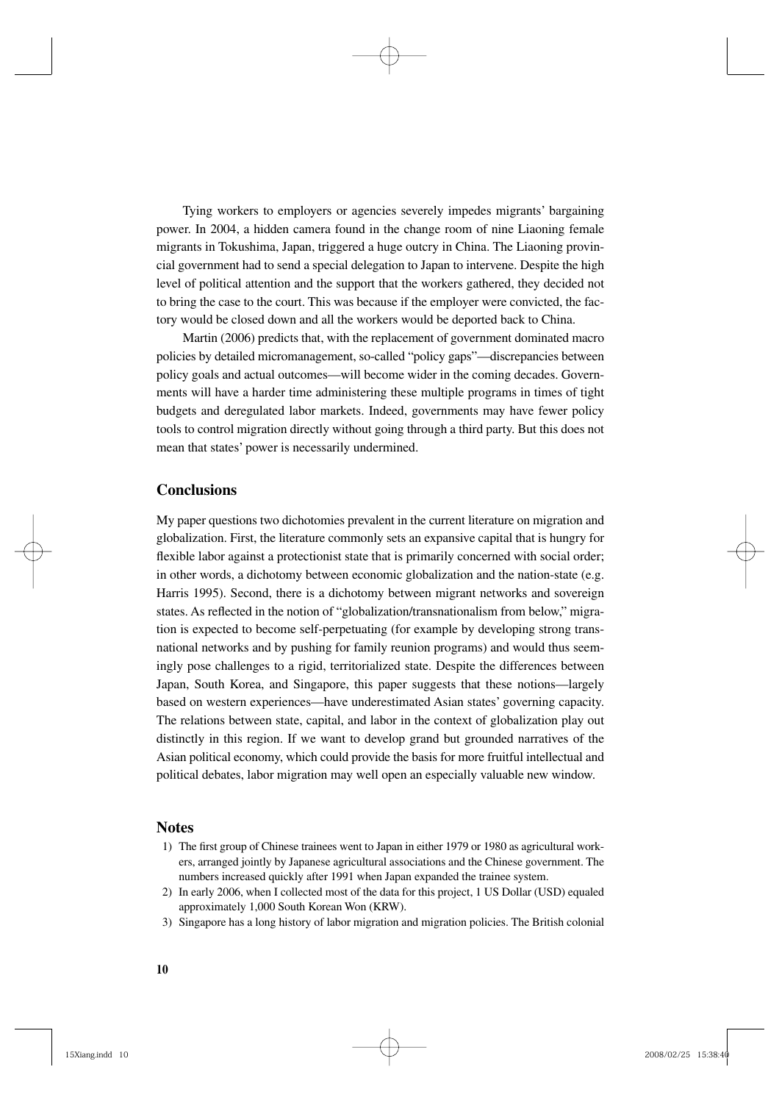Tying workers to employers or agencies severely impedes migrants' bargaining power. In 2004, a hidden camera found in the change room of nine Liaoning female migrants in Tokushima, Japan, triggered a huge outcry in China. The Liaoning provincial government had to send a special delegation to Japan to intervene. Despite the high level of political attention and the support that the workers gathered, they decided not to bring the case to the court. This was because if the employer were convicted, the factory would be closed down and all the workers would be deported back to China.

Martin (2006) predicts that, with the replacement of government dominated macro policies by detailed micromanagement, so-called "policy gaps"—discrepancies between policy goals and actual outcomes—will become wider in the coming decades. Governments will have a harder time administering these multiple programs in times of tight budgets and deregulated labor markets. Indeed, governments may have fewer policy tools to control migration directly without going through a third party. But this does not mean that states' power is necessarily undermined.

### **Conclusions**

My paper questions two dichotomies prevalent in the current literature on migration and globalization. First, the literature commonly sets an expansive capital that is hungry for flexible labor against a protectionist state that is primarily concerned with social order; in other words, a dichotomy between economic globalization and the nation-state (e.g. Harris 1995). Second, there is a dichotomy between migrant networks and sovereign states. As reflected in the notion of "globalization/transnationalism from below," migration is expected to become self-perpetuating (for example by developing strong transnational networks and by pushing for family reunion programs) and would thus seemingly pose challenges to a rigid, territorialized state. Despite the differences between Japan, South Korea, and Singapore, this paper suggests that these notions—largely based on western experiences—have underestimated Asian states' governing capacity. The relations between state, capital, and labor in the context of globalization play out distinctly in this region. If we want to develop grand but grounded narratives of the Asian political economy, which could provide the basis for more fruitful intellectual and political debates, labor migration may well open an especially valuable new window.

### **Notes**

- 1) The first group of Chinese trainees went to Japan in either 1979 or 1980 as agricultural workers, arranged jointly by Japanese agricultural associations and the Chinese government. The numbers increased quickly after 1991 when Japan expanded the trainee system.
- 2) In early 2006, when I collected most of the data for this project, 1 US Dollar (USD) equaled approximately 1,000 South Korean Won (KRW).
- 3) Singapore has a long history of labor migration and migration policies. The British colonial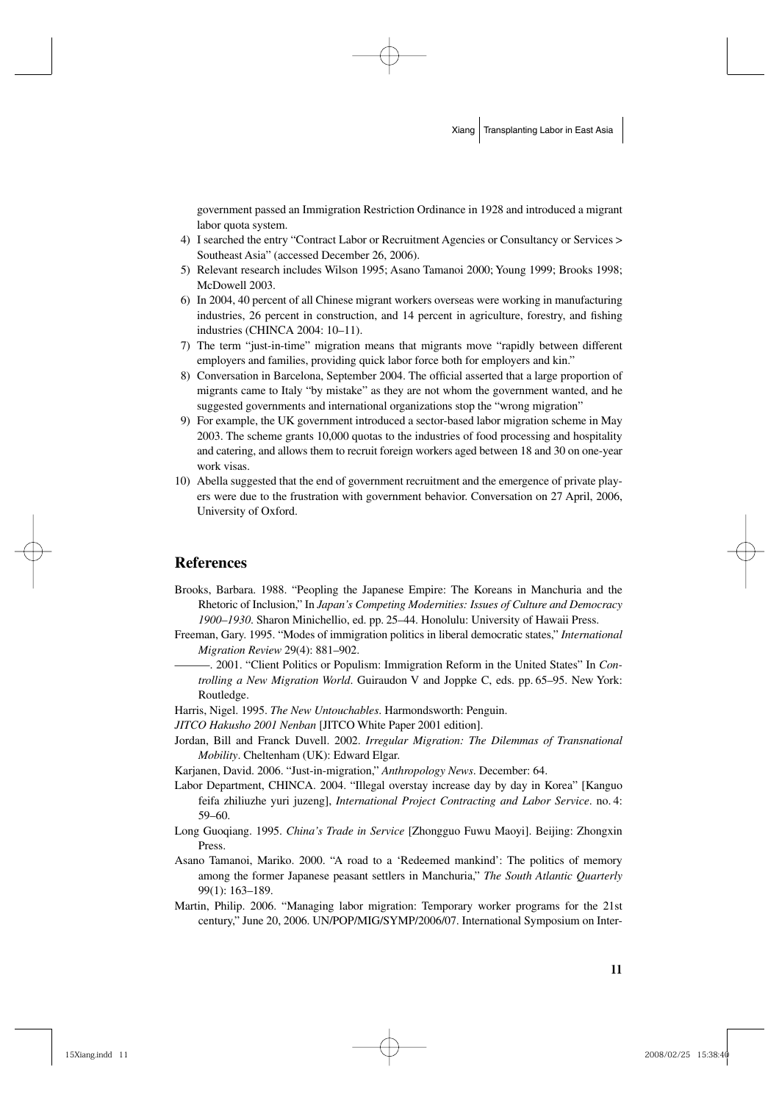government passed an Immigration Restriction Ordinance in 1928 and introduced a migrant labor quota system.

- 4) I searched the entry "Contract Labor or Recruitment Agencies or Consultancy or Services > Southeast Asia" (accessed December 26, 2006).
- 5) Relevant research includes Wilson 1995; Asano Tamanoi 2000; Young 1999; Brooks 1998; McDowell 2003.
- 6) In 2004, 40 percent of all Chinese migrant workers overseas were working in manufacturing industries, 26 percent in construction, and 14 percent in agriculture, forestry, and fishing industries (CHINCA 2004: 10–11).
- 7) The term "just-in-time" migration means that migrants move "rapidly between different employers and families, providing quick labor force both for employers and kin."
- 8) Conversation in Barcelona, September 2004. The official asserted that a large proportion of migrants came to Italy "by mistake" as they are not whom the government wanted, and he suggested governments and international organizations stop the "wrong migration"
- 9) For example, the UK government introduced a sector-based labor migration scheme in May 2003. The scheme grants 10,000 quotas to the industries of food processing and hospitality and catering, and allows them to recruit foreign workers aged between 18 and 30 on one-year work visas.
- 10) Abella suggested that the end of government recruitment and the emergence of private players were due to the frustration with government behavior. Conversation on 27 April, 2006, University of Oxford.

### **References**

Brooks, Barbara. 1988. "Peopling the Japanese Empire: The Koreans in Manchuria and the Rhetoric of Inclusion," In *Japan's Competing Modernities: Issues of Culture and Democracy 1900–1930*. Sharon Minichellio, ed. pp. 25–44. Honolulu: University of Hawaii Press.

Freeman, Gary. 1995. "Modes of immigration politics in liberal democratic states," *International Migration Review* 29(4): 881–902.

- —. 2001. "Client Politics or Populism: Immigration Reform in the United States" In *Controlling a New Migration World*. Guiraudon V and Joppke C, eds. pp. 65–95. New York: Routledge.
- Harris, Nigel. 1995. *The New Untouchables*. Harmondsworth: Penguin.
- *JITCO Hakusho 2001 Nenban* [JITCO White Paper 2001 edition].
- Jordan, Bill and Franck Duvell. 2002. *Irregular Migration: The Dilemmas of Transnational Mobility*. Cheltenham (UK): Edward Elgar.

Karjanen, David. 2006. "Just-in-migration," *Anthropology News*. December: 64.

- Labor Department, CHINCA. 2004. "Illegal overstay increase day by day in Korea" [Kanguo feifa zhiliuzhe yuri juzeng], *International Project Contracting and Labor Service*. no. 4: 59–60.
- Long Guoqiang. 1995. *China's Trade in Service* [Zhongguo Fuwu Maoyi]. Beijing: Zhongxin Press.
- Asano Tamanoi, Mariko. 2000. "A road to a 'Redeemed mankind': The politics of memory among the former Japanese peasant settlers in Manchuria," *The South Atlantic Quarterly* 99(1): 163–189.
- Martin, Philip. 2006. "Managing labor migration: Temporary worker programs for the 21st century," June 20, 2006. UN/POP/MIG/SYMP/2006/07. International Symposium on Inter-